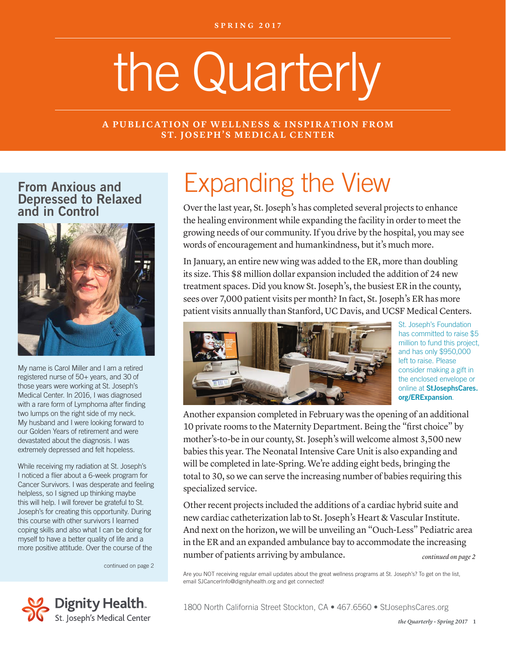# the Quarterly

#### **A PUBLICATION OF WELLNESS & INSPIRATION FROM ST. JOSEPH'S MEDICAL CENTER**

From Anxious and Depressed to Relaxed and in Control



My name is Carol Miller and I am a retired registered nurse of 50+ years, and 30 of those years were working at St. Joseph's Medical Center. In 2016, I was diagnosed with a rare form of Lymphoma after finding two lumps on the right side of my neck. My husband and I were looking forward to our Golden Years of retirement and were devastated about the diagnosis. I was extremely depressed and felt hopeless.

While receiving my radiation at St. Joseph's I noticed a flier about a 6-week program for Cancer Survivors. I was desperate and feeling helpless, so I signed up thinking maybe this will help. I will forever be grateful to St. Joseph's for creating this opportunity. During this course with other survivors I learned coping skills and also what I can be doing for myself to have a better quality of life and a more positive attitude. Over the course of the

continued on page 2



# Expanding the View

Over the last year, St. Joseph's has completed several projects to enhance the healing environment while expanding the facility in order to meet the growing needs of our community. If you drive by the hospital, you may see words of encouragement and humankindness, but it's much more.

In January, an entire new wing was added to the ER, more than doubling its size. This \$8 million dollar expansion included the addition of 24 new treatment spaces. Did you know St. Joseph's, the busiest ER in the county, sees over 7,000 patient visits per month? In fact, St. Joseph's ER has more patient visits annually than Stanford, UC Davis, and UCSF Medical Centers.



St. Joseph's Foundation has committed to raise \$5 million to fund this project, and has only \$950,000 left to raise. Please consider making a gift in the enclosed envelope or online at StJosephsCares. org/ERExpansion.

Another expansion completed in February was the opening of an additional 10 private rooms to the Maternity Department. Being the "first choice" by mother's-to-be in our county, St. Joseph's will welcome almost 3,500 new babies this year. The Neonatal Intensive Care Unit is also expanding and will be completed in late-Spring. We're adding eight beds, bringing the total to 30, so we can serve the increasing number of babies requiring this specialized service.

Other recent projects included the additions of a cardiac hybrid suite and new cardiac catheterization lab to St. Joseph's Heart & Vascular Institute. And next on the horizon, we will be unveiling an "Ouch-Less" Pediatric area in the ER and an expanded ambulance bay to accommodate the increasing number of patients arriving by ambulance. *continued on page 2*

Are you NOT receiving regular email updates about the great wellness programs at St. Joseph's? To get on the list, email SJCancerInfo@dignityhealth.org and get connected!

1800 North California Street Stockton, CA • 467.6560 • StJosephsCares.org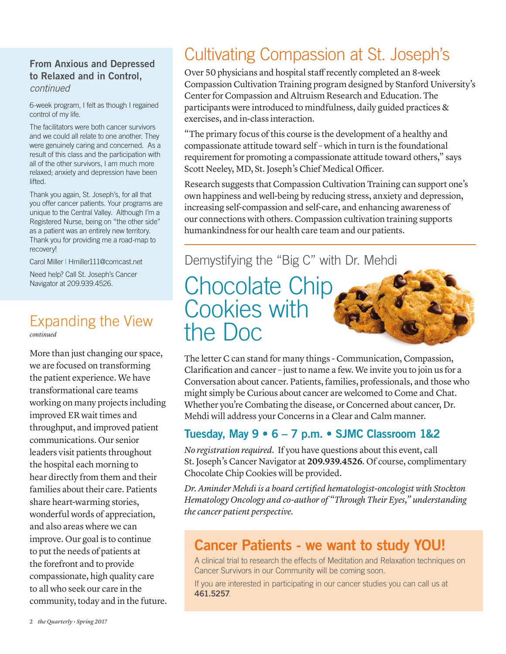#### From Anxious and Depressed to Relaxed and in Control, *continued*

6-week program, I felt as though I regained control of my life.

The facilitators were both cancer survivors and we could all relate to one another. They were genuinely caring and concerned. As a result of this class and the participation with all of the other survivors, I am much more relaxed; anxiety and depression have been lifted.

Thank you again, St. Joseph's, for all that you offer cancer patients. Your programs are unique to the Central Valley. Although I'm a Registered Nurse, being on "the other side" as a patient was an entirely new territory. Thank you for providing me a road-map to recovery!

Carol Miller | Hmiller111@comcast.net

Need help? Call St. Joseph's Cancer Navigator at 209.939.4526.

#### Expanding the View *continued*

More than just changing our space, we are focused on transforming the patient experience. We have transformational care teams working on many projects including improved ER wait times and throughput, and improved patient communications. Our senior leaders visit patients throughout the hospital each morning to hear directly from them and their families about their care. Patients share heart-warming stories, wonderful words of appreciation, and also areas where we can improve. Our goal is to continue to put the needs of patients at the forefront and to provide compassionate, high quality care to all who seek our care in the community, today and in the future.

# Cultivating Compassion at St. Joseph's

Over 50 physicians and hospital staff recently completed an 8-week Compassion Cultivation Training program designed by Stanford University's Center for Compassion and Altruism Research and Education. The participants were introduced to mindfulness, daily guided practices & exercises, and in-class interaction.

"The primary focus of this course is the development of a healthy and compassionate attitude toward self – which in turn is the foundational requirement for promoting a compassionate attitude toward others," says Scott Neeley, MD, St. Joseph's Chief Medical Officer.

Research suggests that Compassion Cultivation Training can support one's own happiness and well-being by reducing stress, anxiety and depression, increasing self-compassion and self-care, and enhancing awareness of our connections with others. Compassion cultivation training supports humankindness for our health care team and our patients.

#### Demystifying the "Big C" with Dr. Mehdi

# Chocolate Chip Cookies with the Doc



The letter C can stand for many things - Communication, Compassion, Clarification and cancer – just to name a few. We invite you to join us for a Conversation about cancer. Patients, families, professionals, and those who might simply be Curious about cancer are welcomed to Come and Chat. Whether you're Combating the disease, or Concerned about cancer, Dr. Mehdi will address your Concerns in a Clear and Calm manner.

#### Tuesday, May 9 • 6 – 7 p.m. • SJMC Classroom 1&2

*No registration required.* If you have questions about this event, call St. Joseph's Cancer Navigator at **209.939.4526**. Of course, complimentary Chocolate Chip Cookies will be provided.

*Dr. Aminder Mehdi is a board certified hematologist-oncologist with Stockton Hematology Oncology and co-author of "Through Their Eyes," understanding the cancer patient perspective.*

#### Cancer Patients - we want to study YOU!

A clinical trial to research the effects of Meditation and Relaxation techniques on Cancer Survivors in our Community will be coming soon.

If you are interested in participating in our cancer studies you can call us at 461.5257.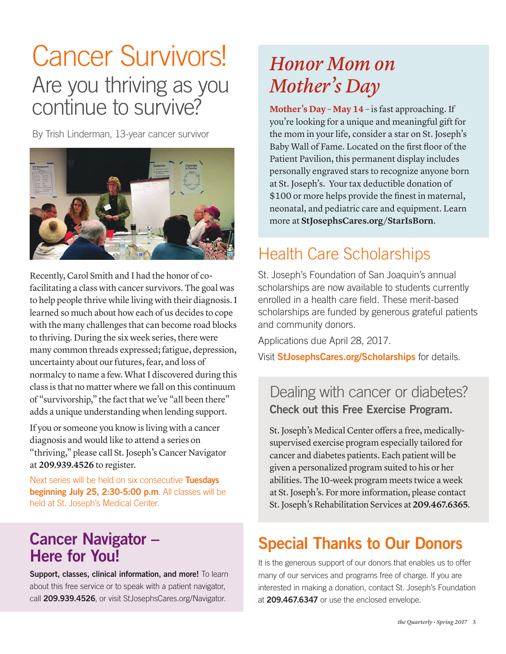# Cancer Survivors! Are you thriving as you continue to survive?

By Trish Linderman, 13-year cancer survivor



Recently, Carol Smith and I had the honor of cofacilitating a class with cancer survivors. The goal was to help people thrive while living with their diagnosis. I learned so much about how each of us decides to cope with the many challenges that can become road blocks to thriving. During the six week series, there were many common threads expressed; fatigue, depression, uncertainty about our futures, fear, and loss of normalcy to name a few. What I discovered during this class is that no matter where we fall on this continuum of "survivorship," the fact that we've "all been there" adds a unique understanding when lending support.

If you or someone you know is living with a cancer diagnosis and would like to attend a series on "thriving," please call St. Joseph's Cancer Navigator at **209.939.4526** to register.

Next series will be held on six consecutive Tuesdays beginning July 25, 2:30-5:00 p.m. All classes will be held at St. Joseph's Medical Center.

### Cancer Navigator – Here for You!

Support, classes, clinical information, and more! To learn about this free service or to speak with a patient navigator, call 209.939.4526, or visit StJosephsCares.org/Navigator.

# *Honor Mom on Mother's Day*

**Mother's Day – May 14** – is fast approaching. If you're looking for a unique and meaningful gift for the mom in your life, consider a star on St. Joseph's Baby Wall of Fame. Located on the first floor of the Patient Pavilion, this permanent display includes personally engraved stars to recognize anyone born at St. Joseph's. Your tax deductible donation of \$100 or more helps provide the finest in maternal, neonatal, and pediatric care and equipment. Learn more at **StJosephsCares.org/StarIsBorn**.

## Health Care Scholarships

St. Joseph's Foundation of San Joaquin's annual scholarships are now available to students currently enrolled in a health care field. These merit-based scholarships are funded by generous grateful patients and community donors.

Applications due April 28, 2017.

Visit **StJosephsCares.org/Scholarships** for details.

#### Dealing with cancer or diabetes? Check out this Free Exercise Program.

St. Joseph's Medical Center offers a free, medicallysupervised exercise program especially tailored for cancer and diabetes patients. Each patient will be given a personalized program suited to his or her abilities. The 10-week program meets twice a week at St. Joseph's. For more information, please contact St. Joseph's Rehabilitation Services at **209.467.6365**.

## Special Thanks to Our Donors

It is the generous support of our donors that enables us to offer many of our services and programs free of charge. If you are interested in making a donation, contact St. Joseph's Foundation at 209.467.6347 or use the enclosed envelope.